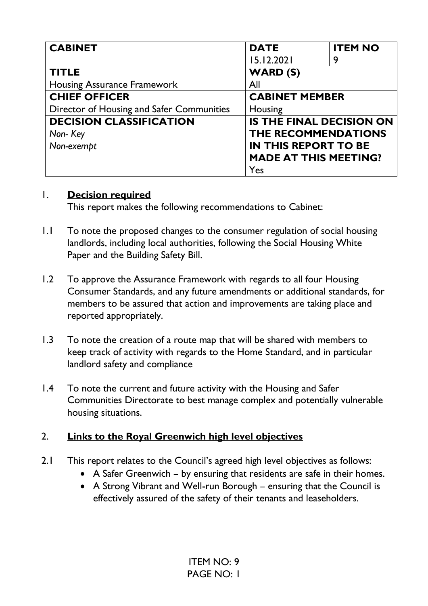| <b>CABINET</b>                            | <b>DATE</b>                  | <b>ITEM NO</b>                  |
|-------------------------------------------|------------------------------|---------------------------------|
|                                           | 15.12.2021                   | 9                               |
| <b>TITLE</b>                              | <b>WARD (S)</b>              |                                 |
| <b>Housing Assurance Framework</b>        | All                          |                                 |
| <b>CHIEF OFFICER</b>                      | <b>CABINET MEMBER</b>        |                                 |
| Director of Housing and Safer Communities | Housing                      |                                 |
| <b>DECISION CLASSIFICATION</b>            |                              | <b>IS THE FINAL DECISION ON</b> |
| Non-Key                                   | <b>THE RECOMMENDATIONS</b>   |                                 |
| Non-exempt                                | <b>IN THIS REPORT TO BE</b>  |                                 |
|                                           | <b>MADE AT THIS MEETING?</b> |                                 |
|                                           | Yes                          |                                 |

#### 1. **Decision required**

This report makes the following recommendations to Cabinet:

- 1.1 To note the proposed changes to the consumer regulation of social housing landlords, including local authorities, following the Social Housing White Paper and the Building Safety Bill.
- 1.2 To approve the Assurance Framework with regards to all four Housing Consumer Standards, and any future amendments or additional standards, for members to be assured that action and improvements are taking place and reported appropriately.
- 1.3 To note the creation of a route map that will be shared with members to keep track of activity with regards to the Home Standard, and in particular landlord safety and compliance
- 1.4 To note the current and future activity with the Housing and Safer Communities Directorate to best manage complex and potentially vulnerable housing situations.

## 2. **Links to the Royal Greenwich high level objectives**

- 2.1 This report relates to the Council's agreed high level objectives as follows:
	- A Safer Greenwich by ensuring that residents are safe in their homes.
	- A Strong Vibrant and Well-run Borough ensuring that the Council is effectively assured of the safety of their tenants and leaseholders.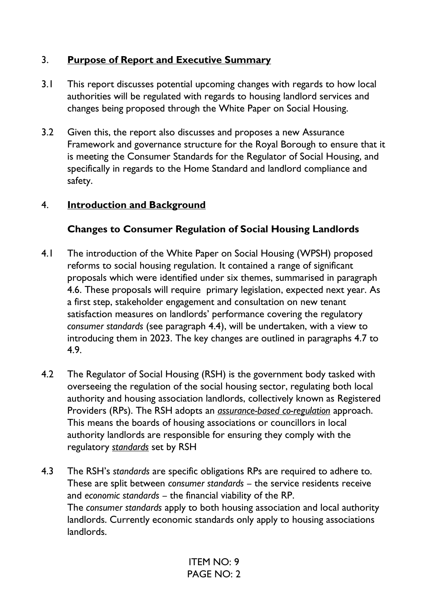## 3. **Purpose of Report and Executive Summary**

- 3.1 This report discusses potential upcoming changes with regards to how local authorities will be regulated with regards to housing landlord services and changes being proposed through the White Paper on Social Housing.
- 3.2 Given this, the report also discusses and proposes a new Assurance Framework and governance structure for the Royal Borough to ensure that it is meeting the Consumer Standards for the Regulator of Social Housing, and specifically in regards to the Home Standard and landlord compliance and safety.

### 4. **Introduction and Background**

### **Changes to Consumer Regulation of Social Housing Landlords**

- 4.1 The introduction of the White Paper on Social Housing (WPSH) proposed reforms to social housing regulation. It contained a range of significant proposals which were identified under six themes, summarised in paragraph 4.6. These proposals will require primary legislation, expected next year. As a first step, stakeholder engagement and consultation on new tenant satisfaction measures on landlords' performance covering the regulatory *consumer standards* (see paragraph 4.4), will be undertaken, with a view to introducing them in 2023. The key changes are outlined in paragraphs 4.7 to 4.9.
- 4.2 The Regulator of Social Housing (RSH) is the government body tasked with overseeing the regulation of the social housing sector, regulating both local authority and housing association landlords, collectively known as Registered Providers (RPs). The RSH adopts an *assurance-based co-regulation* approach. This means the boards of housing associations or councillors in local authority landlords are responsible for ensuring they comply with the regulatory *standards* set by RSH
- 4.3 The RSH's *standards* are specific obligations RPs are required to adhere to. These are split between *consumer standards* – the service residents receive and *economic standards* – the financial viability of the RP. The *consumer standards* apply to both housing association and local authority landlords. Currently economic standards only apply to housing associations landlords.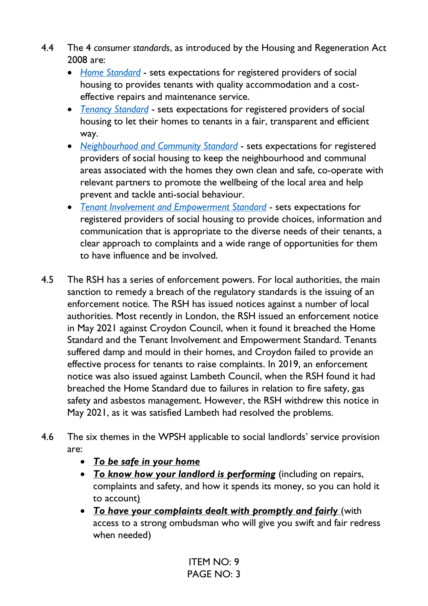- 4.4 The 4 *consumer standards*, as introduced by the Housing and Regeneration Act 2008 are:
	- *[Home Standard](https://eur01.safelinks.protection.outlook.com/?url=https%3A%2F%2Fwww.gov.uk%2Fgovernment%2Fpublications%2Fhome-standard%2Fhome-standard-2015&data=04%7C01%7CIan.Wall%40royalgreenwich.gov.uk%7Cd65182dfcd9b4296763808d99de746d6%7Ce632f2633f464111aa5cd54126f95105%7C1%7C0%7C637714438906724045%7CUnknown%7CTWFpbGZsb3d8eyJWIjoiMC4wLjAwMDAiLCJQIjoiV2luMzIiLCJBTiI6Ik1haWwiLCJXVCI6Mn0%3D%7C1000&sdata=Ak%2FdhucTe4wcEv8zUPbxOgP9fuk5l4duv6XwhgvjVhM%3D&reserved=0)* sets expectations for registered providers of social housing to provides tenants with quality accommodation and a costeffective repairs and maintenance service.
	- *[Tenancy Standard](https://eur01.safelinks.protection.outlook.com/?url=https%3A%2F%2Fwww.gov.uk%2Fgovernment%2Fpublications%2Ftenancy-standard%2Ftenancy-standard-2015&data=04%7C01%7CIan.Wall%40royalgreenwich.gov.uk%7Cd65182dfcd9b4296763808d99de746d6%7Ce632f2633f464111aa5cd54126f95105%7C1%7C0%7C637714438906734036%7CUnknown%7CTWFpbGZsb3d8eyJWIjoiMC4wLjAwMDAiLCJQIjoiV2luMzIiLCJBTiI6Ik1haWwiLCJXVCI6Mn0%3D%7C1000&sdata=GHWMpzxnnkAsYtrkCYvmJf5nKsdtVt%2BTNl8fXEc5Jts%3D&reserved=0)* sets expectations for registered providers of social housing to let their homes to tenants in a fair, transparent and efficient way.
	- *[Neighbourhood and Community Standard](https://eur01.safelinks.protection.outlook.com/?url=https%3A%2F%2Fwww.gov.uk%2Fgovernment%2Fpublications%2Fneighbourhood-and-community-standard%2Fneighbourhood-and-community-standard-2015&data=04%7C01%7CIan.Wall%40royalgreenwich.gov.uk%7Cd65182dfcd9b4296763808d99de746d6%7Ce632f2633f464111aa5cd54126f95105%7C1%7C0%7C637714438906744044%7CUnknown%7CTWFpbGZsb3d8eyJWIjoiMC4wLjAwMDAiLCJQIjoiV2luMzIiLCJBTiI6Ik1haWwiLCJXVCI6Mn0%3D%7C1000&sdata=R7A3IjDtG0EXE1jHFzNqrlyRIb9FpjkBwvyCOHCX0X8%3D&reserved=0)* sets expectations for registered providers of social housing to keep the neighbourhood and communal areas associated with the homes they own clean and safe, co-operate with relevant partners to promote the wellbeing of the local area and help prevent and tackle anti-social behaviour.
	- *[Tenant Involvement and Empowerment Standard](https://eur01.safelinks.protection.outlook.com/?url=https%3A%2F%2Fwww.gov.uk%2Fgovernment%2Fpublications%2Ftenant-involvement-and-empowerment-standard%2Ftenant-involvement-and-empowerment-standard-2017&data=04%7C01%7CIan.Wall%40royalgreenwich.gov.uk%7Cd65182dfcd9b4296763808d99de746d6%7Ce632f2633f464111aa5cd54126f95105%7C1%7C0%7C637714438906754026%7CUnknown%7CTWFpbGZsb3d8eyJWIjoiMC4wLjAwMDAiLCJQIjoiV2luMzIiLCJBTiI6Ik1haWwiLCJXVCI6Mn0%3D%7C1000&sdata=PW8PSKFIYus3BqWgK6%2FOtxVV3rQCee1Ecg%2BVY2jy%2FK0%3D&reserved=0)* sets expectations for registered providers of social housing to provide choices, information and communication that is appropriate to the diverse needs of their tenants, a clear approach to complaints and a wide range of opportunities for them to have influence and be involved.
- 4.5 The RSH has a series of enforcement powers. For local authorities, the main sanction to remedy a breach of the regulatory standards is the issuing of an enforcement notice. The RSH has issued notices against a number of local authorities. Most recently in London, the RSH issued an enforcement notice in May 2021 against Croydon Council, when it found it breached the Home Standard and the Tenant Involvement and Empowerment Standard. Tenants suffered damp and mould in their homes, and Croydon failed to provide an effective process for tenants to raise complaints. In 2019, an enforcement notice was also issued against Lambeth Council, when the RSH found it had breached the Home Standard due to failures in relation to fire safety, gas safety and asbestos management. However, the RSH withdrew this notice in May 2021, as it was satisfied Lambeth had resolved the problems.
- 4.6 The six themes in the WPSH applicable to social landlords' service provision are:
	- *To be safe in your home*
	- *To know how your landlord is performing* (including on repairs, complaints and safety, and how it spends its money, so you can hold it to account)
	- *To have your complaints dealt with promptly and fairly* (with access to a strong ombudsman who will give you swift and fair redress when needed)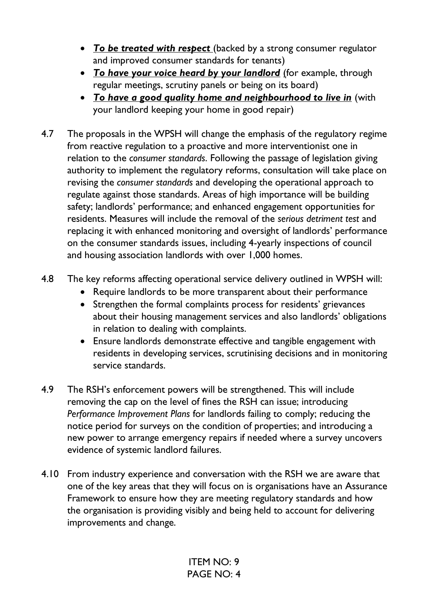- *To be treated with respect* (backed by a strong consumer regulator and improved consumer standards for tenants)
- *To have your voice heard by your landlord* (for example, through regular meetings, scrutiny panels or being on its board)
- *To have a good quality home and neighbourhood to live in* (with your landlord keeping your home in good repair)
- 4.7 The proposals in the WPSH will change the emphasis of the regulatory regime from reactive regulation to a proactive and more interventionist one in relation to the *consumer standards*. Following the passage of legislation giving authority to implement the regulatory reforms, consultation will take place on revising the *consumer standards* and developing the operational approach to regulate against those standards. Areas of high importance will be building safety; landlords' performance; and enhanced engagement opportunities for residents. Measures will include the removal of the *serious detriment test* and replacing it with enhanced monitoring and oversight of landlords' performance on the consumer standards issues, including 4-yearly inspections of council and housing association landlords with over 1,000 homes.
- 4.8 The key reforms affecting operational service delivery outlined in WPSH will:
	- Require landlords to be more transparent about their performance
	- Strengthen the formal complaints process for residents' grievances about their housing management services and also landlords' obligations in relation to dealing with complaints.
	- Ensure landlords demonstrate effective and tangible engagement with residents in developing services, scrutinising decisions and in monitoring service standards.
- 4.9 The RSH's enforcement powers will be strengthened. This will include removing the cap on the level of fines the RSH can issue; introducing *Performance Improvement Plans* for landlords failing to comply; reducing the notice period for surveys on the condition of properties; and introducing a new power to arrange emergency repairs if needed where a survey uncovers evidence of systemic landlord failures.
- 4.10 From industry experience and conversation with the RSH we are aware that one of the key areas that they will focus on is organisations have an Assurance Framework to ensure how they are meeting regulatory standards and how the organisation is providing visibly and being held to account for delivering improvements and change.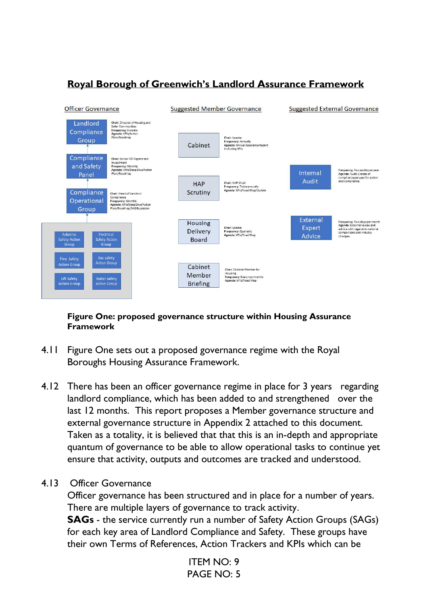# **Royal Borough of Greenwich's Landlord Assurance Framework**



**Figure One: proposed governance structure within Housing Assurance Framework** 

- 4.11 Figure One sets out a proposed governance regime with the Royal Boroughs Housing Assurance Framework.
- 4.12 There has been an officer governance regime in place for 3 years regarding landlord compliance, which has been added to and strengthened over the last 12 months. This report proposes a Member governance structure and external governance structure in Appendix 2 attached to this document. Taken as a totality, it is believed that that this is an in-depth and appropriate quantum of governance to be able to allow operational tasks to continue yet ensure that activity, outputs and outcomes are tracked and understood.
- 4.13 Officer Governance

Officer governance has been structured and in place for a number of years. There are multiple layers of governance to track activity. **SAGs** - the service currently run a number of Safety Action Groups (SAGs) for each key area of Landlord Compliance and Safety. These groups have their own Terms of References, Action Trackers and KPIs which can be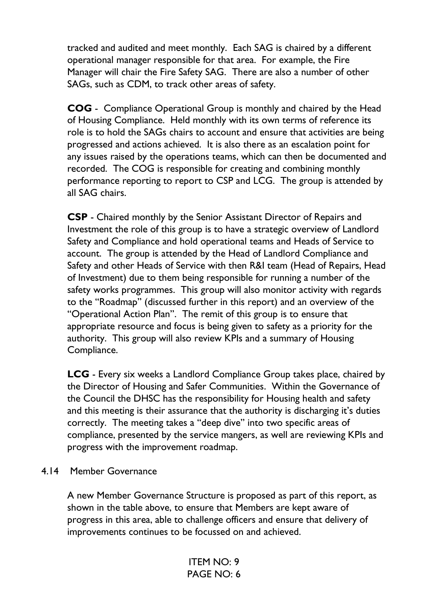tracked and audited and meet monthly. Each SAG is chaired by a different operational manager responsible for that area. For example, the Fire Manager will chair the Fire Safety SAG. There are also a number of other SAGs, such as CDM, to track other areas of safety.

**COG** - Compliance Operational Group is monthly and chaired by the Head of Housing Compliance. Held monthly with its own terms of reference its role is to hold the SAGs chairs to account and ensure that activities are being progressed and actions achieved. It is also there as an escalation point for any issues raised by the operations teams, which can then be documented and recorded. The COG is responsible for creating and combining monthly performance reporting to report to CSP and LCG. The group is attended by all SAG chairs.

**CSP** - Chaired monthly by the Senior Assistant Director of Repairs and Investment the role of this group is to have a strategic overview of Landlord Safety and Compliance and hold operational teams and Heads of Service to account. The group is attended by the Head of Landlord Compliance and Safety and other Heads of Service with then R&I team (Head of Repairs, Head of Investment) due to them being responsible for running a number of the safety works programmes. This group will also monitor activity with regards to the "Roadmap" (discussed further in this report) and an overview of the "Operational Action Plan". The remit of this group is to ensure that appropriate resource and focus is being given to safety as a priority for the authority. This group will also review KPIs and a summary of Housing Compliance.

**LCG** - Every six weeks a Landlord Compliance Group takes place, chaired by the Director of Housing and Safer Communities. Within the Governance of the Council the DHSC has the responsibility for Housing health and safety and this meeting is their assurance that the authority is discharging it's duties correctly. The meeting takes a "deep dive" into two specific areas of compliance, presented by the service mangers, as well are reviewing KPIs and progress with the improvement roadmap.

4.14 Member Governance

A new Member Governance Structure is proposed as part of this report, as shown in the table above, to ensure that Members are kept aware of progress in this area, able to challenge officers and ensure that delivery of improvements continues to be focussed on and achieved.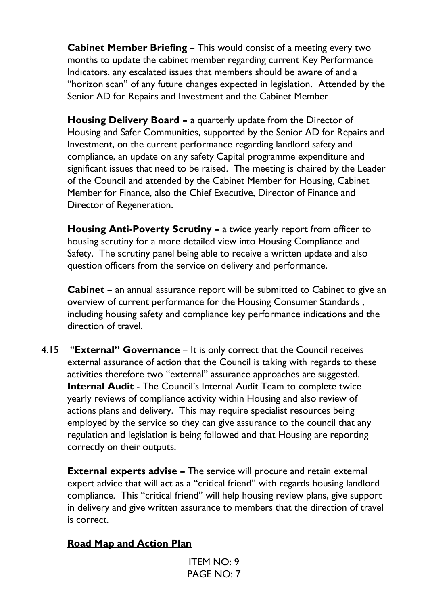**Cabinet Member Briefing –** This would consist of a meeting every two months to update the cabinet member regarding current Key Performance Indicators, any escalated issues that members should be aware of and a "horizon scan" of any future changes expected in legislation. Attended by the Senior AD for Repairs and Investment and the Cabinet Member

**Housing Delivery Board –** a quarterly update from the Director of Housing and Safer Communities, supported by the Senior AD for Repairs and Investment, on the current performance regarding landlord safety and compliance, an update on any safety Capital programme expenditure and significant issues that need to be raised. The meeting is chaired by the Leader of the Council and attended by the Cabinet Member for Housing, Cabinet Member for Finance, also the Chief Executive, Director of Finance and Director of Regeneration.

**Housing Anti-Poverty Scrutiny - a twice yearly report from officer to** housing scrutiny for a more detailed view into Housing Compliance and Safety. The scrutiny panel being able to receive a written update and also question officers from the service on delivery and performance.

**Cabinet** – an annual assurance report will be submitted to Cabinet to give an overview of current performance for the Housing Consumer Standards , including housing safety and compliance key performance indications and the direction of travel.

4.15 "**External" Governance** – It is only correct that the Council receives external assurance of action that the Council is taking with regards to these activities therefore two "external" assurance approaches are suggested. **Internal Audit** - The Council's Internal Audit Team to complete twice yearly reviews of compliance activity within Housing and also review of actions plans and delivery. This may require specialist resources being employed by the service so they can give assurance to the council that any regulation and legislation is being followed and that Housing are reporting correctly on their outputs.

**External experts advise -** The service will procure and retain external expert advice that will act as a "critical friend" with regards housing landlord compliance. This "critical friend" will help housing review plans, give support in delivery and give written assurance to members that the direction of travel is correct.

### **Road Map and Action Plan**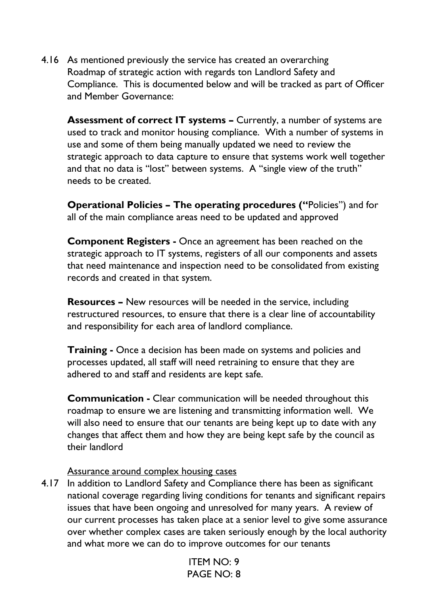4.16 As mentioned previously the service has created an overarching Roadmap of strategic action with regards ton Landlord Safety and Compliance. This is documented below and will be tracked as part of Officer and Member Governance:

**Assessment of correct IT systems –** Currently, a number of systems are used to track and monitor housing compliance. With a number of systems in use and some of them being manually updated we need to review the strategic approach to data capture to ensure that systems work well together and that no data is "lost" between systems. A "single view of the truth" needs to be created.

**Operational Policies – The operating procedures ("**Policies") and for all of the main compliance areas need to be updated and approved

**Component Registers -** Once an agreement has been reached on the strategic approach to IT systems, registers of all our components and assets that need maintenance and inspection need to be consolidated from existing records and created in that system.

**Resources –** New resources will be needed in the service, including restructured resources, to ensure that there is a clear line of accountability and responsibility for each area of landlord compliance.

**Training -** Once a decision has been made on systems and policies and processes updated, all staff will need retraining to ensure that they are adhered to and staff and residents are kept safe.

**Communication - Clear communication will be needed throughout this** roadmap to ensure we are listening and transmitting information well. We will also need to ensure that our tenants are being kept up to date with any changes that affect them and how they are being kept safe by the council as their landlord

#### Assurance around complex housing cases

4.17 In addition to Landlord Safety and Compliance there has been as significant national coverage regarding living conditions for tenants and significant repairs issues that have been ongoing and unresolved for many years. A review of our current processes has taken place at a senior level to give some assurance over whether complex cases are taken seriously enough by the local authority and what more we can do to improve outcomes for our tenants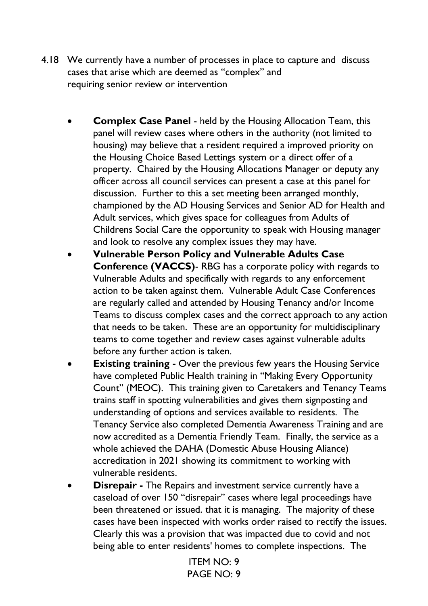- 4.18 We currently have a number of processes in place to capture and discuss cases that arise which are deemed as "complex" and requiring senior review or intervention
	- **Complex Case Panel** held by the Housing Allocation Team, this panel will review cases where others in the authority (not limited to housing) may believe that a resident required a improved priority on the Housing Choice Based Lettings system or a direct offer of a property. Chaired by the Housing Allocations Manager or deputy any officer across all council services can present a case at this panel for discussion. Further to this a set meeting been arranged monthly, championed by the AD Housing Services and Senior AD for Health and Adult services, which gives space for colleagues from Adults of Childrens Social Care the opportunity to speak with Housing manager and look to resolve any complex issues they may have.
	- **Vulnerable Person Policy and Vulnerable Adults Case Conference (VACCS)**- RBG has a corporate policy with regards to Vulnerable Adults and specifically with regards to any enforcement action to be taken against them. Vulnerable Adult Case Conferences are regularly called and attended by Housing Tenancy and/or Income Teams to discuss complex cases and the correct approach to any action that needs to be taken. These are an opportunity for multidisciplinary teams to come together and review cases against vulnerable adults before any further action is taken.
	- **Existing training -** Over the previous few years the Housing Service have completed Public Health training in "Making Every Opportunity Count" (MEOC). This training given to Caretakers and Tenancy Teams trains staff in spotting vulnerabilities and gives them signposting and understanding of options and services available to residents. The Tenancy Service also completed Dementia Awareness Training and are now accredited as a Dementia Friendly Team. Finally, the service as a whole achieved the DAHA (Domestic Abuse Housing Aliance) accreditation in 2021 showing its commitment to working with vulnerable residents.
	- **Disrepair** The Repairs and investment service currently have a caseload of over 150 "disrepair" cases where legal proceedings have been threatened or issued. that it is managing. The majority of these cases have been inspected with works order raised to rectify the issues. Clearly this was a provision that was impacted due to covid and not being able to enter residents' homes to complete inspections. The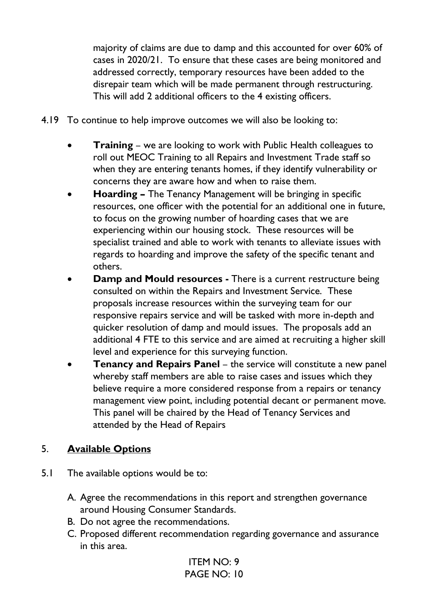majority of claims are due to damp and this accounted for over 60% of cases in 2020/21. To ensure that these cases are being monitored and addressed correctly, temporary resources have been added to the disrepair team which will be made permanent through restructuring. This will add 2 additional officers to the 4 existing officers.

- 4.19 To continue to help improve outcomes we will also be looking to:
	- **Training**  we are looking to work with Public Health colleagues to roll out MEOC Training to all Repairs and Investment Trade staff so when they are entering tenants homes, if they identify vulnerability or concerns they are aware how and when to raise them.
	- **Hoarding –** The Tenancy Management will be bringing in specific resources, one officer with the potential for an additional one in future, to focus on the growing number of hoarding cases that we are experiencing within our housing stock. These resources will be specialist trained and able to work with tenants to alleviate issues with regards to hoarding and improve the safety of the specific tenant and others.
	- **Damp and Mould resources There is a current restructure being** consulted on within the Repairs and Investment Service. These proposals increase resources within the surveying team for our responsive repairs service and will be tasked with more in-depth and quicker resolution of damp and mould issues. The proposals add an additional 4 FTE to this service and are aimed at recruiting a higher skill level and experience for this surveying function.
	- **Tenancy and Repairs Panel** the service will constitute a new panel whereby staff members are able to raise cases and issues which they believe require a more considered response from a repairs or tenancy management view point, including potential decant or permanent move. This panel will be chaired by the Head of Tenancy Services and attended by the Head of Repairs

## 5. **Available Options**

- 5.1 The available options would be to:
	- A. Agree the recommendations in this report and strengthen governance around Housing Consumer Standards.
	- B. Do not agree the recommendations.
	- C. Proposed different recommendation regarding governance and assurance in this area.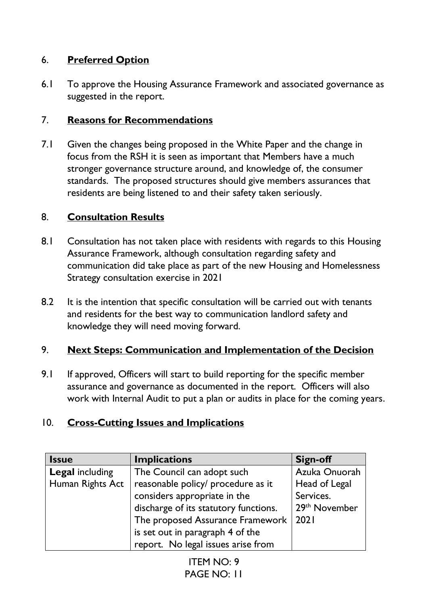## 6. **Preferred Option**

6.1 To approve the Housing Assurance Framework and associated governance as suggested in the report.

#### 7. **Reasons for Recommendations**

7.1 Given the changes being proposed in the White Paper and the change in focus from the RSH it is seen as important that Members have a much stronger governance structure around, and knowledge of, the consumer standards. The proposed structures should give members assurances that residents are being listened to and their safety taken seriously.

#### 8. **Consultation Results**

- 8.1 Consultation has not taken place with residents with regards to this Housing Assurance Framework, although consultation regarding safety and communication did take place as part of the new Housing and Homelessness Strategy consultation exercise in 2021
- 8.2 It is the intention that specific consultation will be carried out with tenants and residents for the best way to communication landlord safety and knowledge they will need moving forward.

### 9. **Next Steps: Communication and Implementation of the Decision**

9.1 If approved, Officers will start to build reporting for the specific member assurance and governance as documented in the report. Officers will also work with Internal Audit to put a plan or audits in place for the coming years.

#### 10. **Cross-Cutting Issues and Implications**

| <b>Issue</b>           | <b>Implications</b>                   | Sign-off      |
|------------------------|---------------------------------------|---------------|
| <b>Legal including</b> | The Council can adopt such            | Azuka Onuorah |
| Human Rights Act       | reasonable policy/ procedure as it    | Head of Legal |
|                        | considers appropriate in the          | Services.     |
|                        | discharge of its statutory functions. | 29th November |
|                        | The proposed Assurance Framework      | 2021          |
|                        | is set out in paragraph 4 of the      |               |
|                        | report. No legal issues arise from    |               |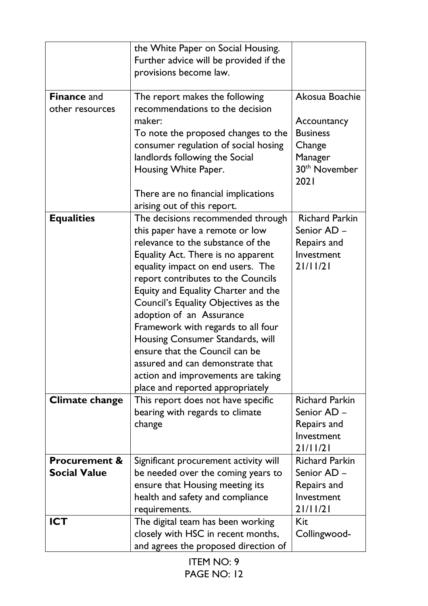|                          | the White Paper on Social Housing.                                     |                           |
|--------------------------|------------------------------------------------------------------------|---------------------------|
|                          | Further advice will be provided if the                                 |                           |
|                          | provisions become law.                                                 |                           |
|                          |                                                                        |                           |
| <b>Finance and</b>       | The report makes the following                                         | Akosua Boachie            |
| other resources          | recommendations to the decision                                        |                           |
|                          | maker:                                                                 | Accountancy               |
|                          | To note the proposed changes to the                                    | <b>Business</b>           |
|                          | consumer regulation of social hosing                                   | Change                    |
|                          | landlords following the Social                                         | Manager                   |
|                          | Housing White Paper.                                                   | 30 <sup>th</sup> November |
|                          |                                                                        | 2021                      |
|                          | There are no financial implications                                    |                           |
|                          | arising out of this report.                                            |                           |
| <b>Equalities</b>        | The decisions recommended through                                      | <b>Richard Parkin</b>     |
|                          | this paper have a remote or low                                        | Senior AD -               |
|                          | relevance to the substance of the                                      | Repairs and               |
|                          | Equality Act. There is no apparent                                     | Investment                |
|                          | equality impact on end users. The                                      | 21/11/21                  |
|                          | report contributes to the Councils                                     |                           |
|                          | Equity and Equality Charter and the                                    |                           |
|                          | Council's Equality Objectives as the                                   |                           |
|                          | adoption of an Assurance                                               |                           |
|                          | Framework with regards to all four                                     |                           |
|                          | Housing Consumer Standards, will                                       |                           |
|                          | ensure that the Council can be                                         |                           |
|                          | assured and can demonstrate that                                       |                           |
|                          | action and improvements are taking<br>place and reported appropriately |                           |
| Climate change           | This report does not have specific                                     | <b>Richard Parkin</b>     |
|                          | bearing with regards to climate                                        | Senior AD -               |
|                          | change                                                                 | Repairs and               |
|                          |                                                                        | Investment                |
|                          |                                                                        | 21/11/21                  |
| <b>Procurement &amp;</b> | Significant procurement activity will                                  | <b>Richard Parkin</b>     |
| <b>Social Value</b>      | be needed over the coming years to                                     | Senior AD -               |
|                          | ensure that Housing meeting its                                        | Repairs and               |
|                          | health and safety and compliance                                       | Investment                |
|                          | requirements.                                                          | 21/11/21                  |
| <b>ICT</b>               | The digital team has been working                                      | Kit                       |
|                          | closely with HSC in recent months,                                     | Collingwood-              |
|                          | and agrees the proposed direction of                                   |                           |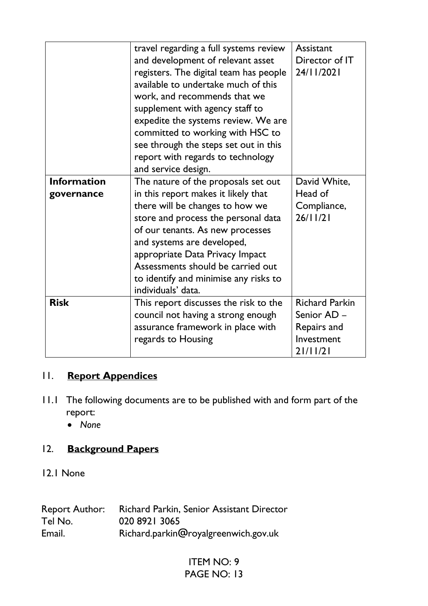|                    | travel regarding a full systems review<br>and development of relevant asset<br>registers. The digital team has people<br>available to undertake much of this<br>work, and recommends that we<br>supplement with agency staff to<br>expedite the systems review. We are<br>committed to working with HSC to<br>see through the steps set out in this<br>report with regards to technology<br>and service design. | Assistant<br>Director of IT<br>24/11/2021                                     |
|--------------------|-----------------------------------------------------------------------------------------------------------------------------------------------------------------------------------------------------------------------------------------------------------------------------------------------------------------------------------------------------------------------------------------------------------------|-------------------------------------------------------------------------------|
| <b>Information</b> | The nature of the proposals set out                                                                                                                                                                                                                                                                                                                                                                             | David White,                                                                  |
| governance         | in this report makes it likely that<br>there will be changes to how we<br>store and process the personal data<br>of our tenants. As new processes<br>and systems are developed,<br>appropriate Data Privacy Impact<br>Assessments should be carried out<br>to identify and minimise any risks to<br>individuals' data.                                                                                          | Head of<br>Compliance,<br>26/11/21                                            |
| <b>Risk</b>        | This report discusses the risk to the<br>council not having a strong enough<br>assurance framework in place with<br>regards to Housing                                                                                                                                                                                                                                                                          | <b>Richard Parkin</b><br>Senior AD -<br>Repairs and<br>Investment<br>21/11/21 |

# 11. **Report Appendices**

- 11.1 The following documents are to be published with and form part of the report:
	- *None*

# 12. **Background Papers**

12.1 None

| <b>Report Author:</b> | Richard Parkin, Senior Assistant Director |
|-----------------------|-------------------------------------------|
| Tel No.               | 020 8921 3065                             |
| Email.                | Richard.parkin@royalgreenwich.gov.uk      |